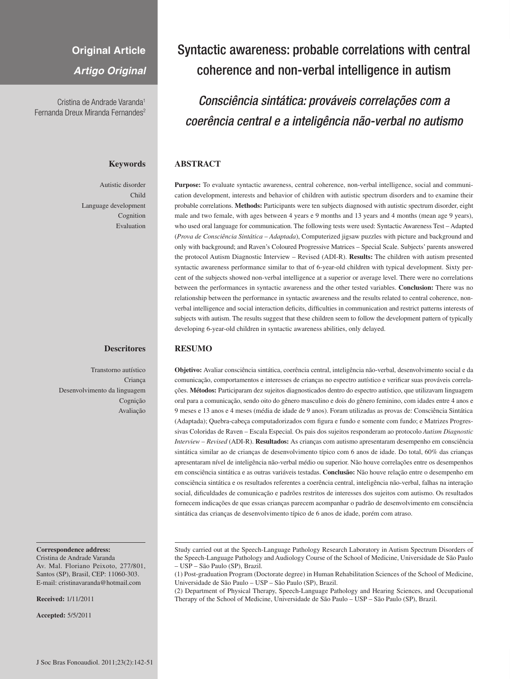# **Original Article**

*Artigo Original*

Cristina de Andrade Varanda1 Fernanda Dreux Miranda Fernandes<sup>2</sup>

# **Keywords**

Autistic disorder Child Language development Cognition Evaluation

## **Descritores**

Transtorno autístico Criança Desenvolvimento da linguagem Cognição Avaliação

#### **Correspondence address:**

Cristina de Andrade Varanda Av. Mal. Floriano Peixoto, 277/801, Santos (SP), Brasil, CEP: 11060-303. E-mail: cristinavaranda@hotmail.com

**Received:** 1/11/2011

**Accepted:** 5/5/2011

# Syntactic awareness: probable correlations with central coherence and non-verbal intelligence in autism

*Consciência sintática: prováveis correlações com a coerência central e a inteligência não-verbal no autismo*

# **ABSTRACT**

**Purpose:** To evaluate syntactic awareness, central coherence, non-verbal intelligence, social and communication development, interests and behavior of children with autistic spectrum disorders and to examine their probable correlations. **Methods:** Participants were ten subjects diagnosed with autistic spectrum disorder, eight male and two female, with ages between 4 years e 9 months and 13 years and 4 months (mean age 9 years), who used oral language for communication. The following tests were used: Syntactic Awareness Test – Adapted (*Prova de Consciência Sintática – Adaptada*), Computerized jigsaw puzzles with picture and background and only with background; and Raven's Coloured Progressive Matrices – Special Scale. Subjects' parents answered the protocol Autism Diagnostic Interview – Revised (ADI-R). **Results:** The children with autism presented syntactic awareness performance similar to that of 6-year-old children with typical development. Sixty percent of the subjects showed non-verbal intelligence at a superior or average level. There were no correlations between the performances in syntactic awareness and the other tested variables. **Conclusion:** There was no relationship between the performance in syntactic awareness and the results related to central coherence, nonverbal intelligence and social interaction deficits, difficulties in communication and restrict patterns interests of subjects with autism. The results suggest that these children seem to follow the development pattern of typically developing 6-year-old children in syntactic awareness abilities, only delayed.

## **RESUMO**

**Objetivo:** Avaliar consciência sintática, coerência central, inteligência não-verbal, desenvolvimento social e da comunicação, comportamentos e interesses de crianças no espectro autístico e verificar suas prováveis correlações. **Métodos:** Participaram dez sujeitos diagnosticados dentro do espectro autístico, que utilizavam linguagem oral para a comunicação, sendo oito do gênero masculino e dois do gênero feminino, com idades entre 4 anos e 9 meses e 13 anos e 4 meses (média de idade de 9 anos). Foram utilizadas as provas de: Consciência Sintática (Adaptada); Quebra-cabeça computadorizados com figura e fundo e somente com fundo; e Matrizes Progressivas Coloridas de Raven – Escala Especial. Os pais dos sujeitos responderam ao protocolo *Autism Diagnostic Interview – Revised* (ADI-R). **Resultados:** As crianças com autismo apresentaram desempenho em consciência sintática similar ao de crianças de desenvolvimento típico com 6 anos de idade. Do total, 60% das crianças apresentaram nível de inteligência não-verbal médio ou superior. Não houve correlações entre os desempenhos em consciência sintática e as outras variáveis testadas. **Conclusão:** Não houve relação entre o desempenho em consciência sintática e os resultados referentes a coerência central, inteligência não-verbal, falhas na interação social, dificuldades de comunicação e padrões restritos de interesses dos sujeitos com autismo. Os resultados fornecem indicações de que essas crianças parecem acompanhar o padrão de desenvolvimento em consciência sintática das crianças de desenvolvimento típico de 6 anos de idade, porém com atraso.

Study carried out at the Speech-Language Pathology Research Laboratory in Autism Spectrum Disorders of the Speech-Language Pathology and Audiology Course of the School of Medicine, Universidade de São Paulo – USP – São Paulo (SP), Brazil.

(2) Department of Physical Therapy, Speech-Language Pathology and Hearing Sciences, and Occupational Therapy of the School of Medicine, Universidade de São Paulo – USP – São Paulo (SP), Brazil.

<sup>(1)</sup> Post-graduation Program (Doctorate degree) in Human Rehabilitation Sciences of the School of Medicine, Universidade de São Paulo – USP – São Paulo (SP), Brazil.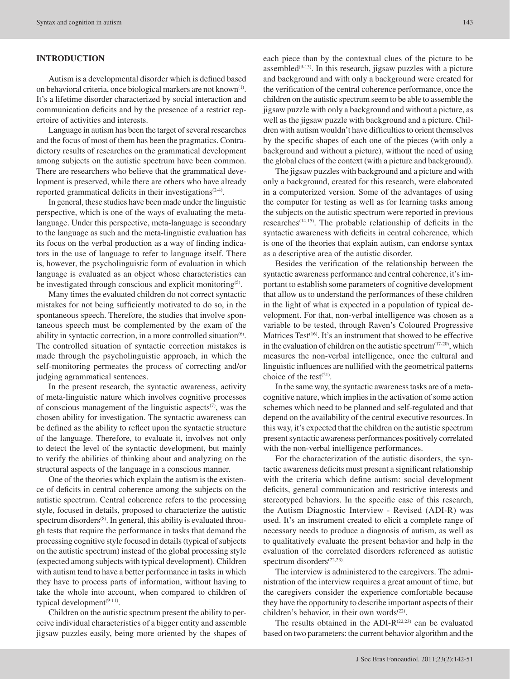# **INTRODUCTION**

Autism is a developmental disorder which is defined based on behavioral criteria, once biological markers are not known(1). It's a lifetime disorder characterized by social interaction and communication deficits and by the presence of a restrict repertoire of activities and interests.

Language in autism has been the target of several researches and the focus of most of them has been the pragmatics. Contradictory results of researches on the grammatical development among subjects on the autistic spectrum have been common. There are researchers who believe that the grammatical development is preserved, while there are others who have already reported grammatical deficits in their investigations $(2-4)$ .

In general, these studies have been made under the linguistic perspective, which is one of the ways of evaluating the metalanguage. Under this perspective, meta-language is secondary to the language as such and the meta-linguistic evaluation has its focus on the verbal production as a way of finding indicators in the use of language to refer to language itself. There is, however, the psycholinguistic form of evaluation in which language is evaluated as an object whose characteristics can be investigated through conscious and explicit monitoring<sup>(5)</sup>.

Many times the evaluated children do not correct syntactic mistakes for not being sufficiently motivated to do so, in the spontaneous speech. Therefore, the studies that involve spontaneous speech must be complemented by the exam of the ability in syntactic correction, in a more controlled situation<sup>(6)</sup>. The controlled situation of syntactic correction mistakes is made through the psycholinguistic approach, in which the self-monitoring permeates the process of correcting and/or judging agrammatical sentences.

In the present research, the syntactic awareness, activity of meta-linguistic nature which involves cognitive processes of conscious management of the linguistic aspects $(7)$ , was the chosen ability for investigation. The syntactic awareness can be defined as the ability to reflect upon the syntactic structure of the language. Therefore, to evaluate it, involves not only to detect the level of the syntactic development, but mainly to verify the abilities of thinking about and analyzing on the structural aspects of the language in a conscious manner.

One of the theories which explain the autism is the existence of deficits in central coherence among the subjects on the autistic spectrum. Central coherence refers to the processing style, focused in details, proposed to characterize the autistic spectrum disorders<sup>(8)</sup>. In general, this ability is evaluated through tests that require the performance in tasks that demand the processing cognitive style focused in details (typical of subjects on the autistic spectrum) instead of the global processing style (expected among subjects with typical development). Children with autism tend to have a better performance in tasks in which they have to process parts of information, without having to take the whole into account, when compared to children of typical development $(9-11)$ .

Children on the autistic spectrum present the ability to perceive individual characteristics of a bigger entity and assemble jigsaw puzzles easily, being more oriented by the shapes of

each piece than by the contextual clues of the picture to be assembled $(9-13)$ . In this research, jigsaw puzzles with a picture and background and with only a background were created for the verification of the central coherence performance, once the children on the autistic spectrum seem to be able to assemble the jigsaw puzzle with only a background and without a picture, as well as the jigsaw puzzle with background and a picture. Children with autism wouldn't have difficulties to orient themselves by the specific shapes of each one of the pieces (with only a background and without a picture), without the need of using the global clues of the context (with a picture and background).

The jigsaw puzzles with background and a picture and with only a background, created for this research, were elaborated in a computerized version. Some of the advantages of using the computer for testing as well as for learning tasks among the subjects on the autistic spectrum were reported in previous researches(14,15). The probable relationship of deficits in the syntactic awareness with deficits in central coherence, which is one of the theories that explain autism, can endorse syntax as a descriptive area of the autistic disorder.

Besides the verification of the relationship between the syntactic awareness performance and central coherence, it's important to establish some parameters of cognitive development that allow us to understand the performances of these children in the light of what is expected in a population of typical development. For that, non-verbal intelligence was chosen as a variable to be tested, through Raven's Coloured Progressive Matrices Test<sup>(16)</sup>. It's an instrument that showed to be effective in the evaluation of children on the autistic spectrum $(17-20)$ , which measures the non-verbal intelligence, once the cultural and linguistic influences are nullified with the geometrical patterns choice of the test<sup>(21)</sup>.

In the same way, the syntactic awareness tasks are of a metacognitive nature, which implies in the activation of some action schemes which need to be planned and self-regulated and that depend on the availability of the central executive resources. In this way, it's expected that the children on the autistic spectrum present syntactic awareness performances positively correlated with the non-verbal intelligence performances.

For the characterization of the autistic disorders, the syntactic awareness deficits must present a significant relationship with the criteria which define autism: social development deficits, general communication and restrictive interests and stereotyped behaviors. In the specific case of this research, the Autism Diagnostic Interview - Revised (ADI-R) was used. It's an instrument created to elicit a complete range of necessary needs to produce a diagnosis of autism, as well as to qualitatively evaluate the present behavior and help in the evaluation of the correlated disorders referenced as autistic spectrum disorders<sup>(22,23)</sup>

The interview is administered to the caregivers. The administration of the interview requires a great amount of time, but the caregivers consider the experience comfortable because they have the opportunity to describe important aspects of their children's behavior, in their own words $(22)$ .

The results obtained in the ADI- $R^{(22,23)}$  can be evaluated based on two parameters: the current behavior algorithm and the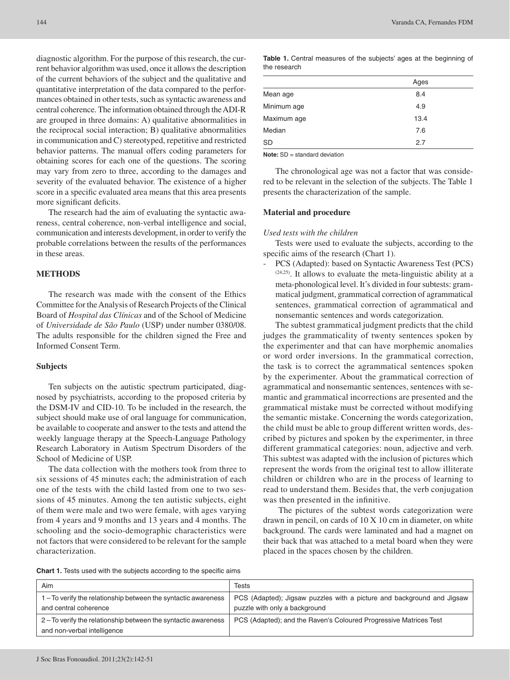diagnostic algorithm. For the purpose of this research, the current behavior algorithm was used, once it allows the description of the current behaviors of the subject and the qualitative and quantitative interpretation of the data compared to the performances obtained in other tests, such as syntactic awareness and central coherence. The information obtained through the ADI-R are grouped in three domains: A) qualitative abnormalities in the reciprocal social interaction; B) qualitative abnormalities in communication and C) stereotyped, repetitive and restricted behavior patterns. The manual offers coding parameters for obtaining scores for each one of the questions. The scoring may vary from zero to three, according to the damages and severity of the evaluated behavior. The existence of a higher score in a specific evaluated area means that this area presents more significant deficits.

The research had the aim of evaluating the syntactic awareness, central coherence, non-verbal intelligence and social, communication and interests development, in order to verify the probable correlations between the results of the performances in these areas.

## **METHODS**

The research was made with the consent of the Ethics Committee for the Analysis of Research Projects of the Clinical Board of *Hospital das Clínicas* and of the School of Medicine of *Universidade de São Paulo* (USP) under number 0380/08. The adults responsible for the children signed the Free and Informed Consent Term.

## **Subjects**

Ten subjects on the autistic spectrum participated, diagnosed by psychiatrists, according to the proposed criteria by the DSM-IV and CID-10. To be included in the research, the subject should make use of oral language for communication, be available to cooperate and answer to the tests and attend the weekly language therapy at the Speech-Language Pathology Research Laboratory in Autism Spectrum Disorders of the School of Medicine of USP.

The data collection with the mothers took from three to six sessions of 45 minutes each; the administration of each one of the tests with the child lasted from one to two sessions of 45 minutes. Among the ten autistic subjects, eight of them were male and two were female, with ages varying from 4 years and 9 months and 13 years and 4 months. The schooling and the socio-demographic characteristics were not factors that were considered to be relevant for the sample characterization.

Table 1. Central measures of the subjects' ages at the beginning of the research

|             | Ages |
|-------------|------|
| Mean age    | 8.4  |
| Minimum age | 4.9  |
| Maximum age | 13.4 |
| Median      | 7.6  |
| SD          | 2.7  |

**Note:** SD = standard deviation

The chronological age was not a factor that was considered to be relevant in the selection of the subjects. The Table 1 presents the characterization of the sample.

## **Material and procedure**

#### *Used tests with the children*

Tests were used to evaluate the subjects, according to the specific aims of the research (Chart 1).

PCS (Adapted): based on Syntactic Awareness Test (PCS) (24,25). It allows to evaluate the meta-linguistic ability at a meta-phonological level. It's divided in four subtests: grammatical judgment, grammatical correction of agrammatical sentences, grammatical correction of agrammatical and nonsemantic sentences and words categorization.

The subtest grammatical judgment predicts that the child judges the grammaticality of twenty sentences spoken by the experimenter and that can have morphemic anomalies or word order inversions. In the grammatical correction, the task is to correct the agrammatical sentences spoken by the experimenter. About the grammatical correction of agrammatical and nonsemantic sentences, sentences with semantic and grammatical incorrections are presented and the grammatical mistake must be corrected without modifying the semantic mistake. Concerning the words categorization, the child must be able to group different written words, described by pictures and spoken by the experimenter, in three different grammatical categories: noun, adjective and verb. This subtest was adapted with the inclusion of pictures which represent the words from the original test to allow illiterate children or children who are in the process of learning to read to understand them. Besides that, the verb conjugation was then presented in the infinitive.

 The pictures of the subtest words categorization were drawn in pencil, on cards of 10 X 10 cm in diameter, on white background. The cards were laminated and had a magnet on their back that was attached to a metal board when they were placed in the spaces chosen by the children.

| <b>Chart 1.</b> Tests used with the subjects according to the specific aims |
|-----------------------------------------------------------------------------|
|-----------------------------------------------------------------------------|

| Aim                                                            | Tests                                                                  |
|----------------------------------------------------------------|------------------------------------------------------------------------|
| 1-To verify the relationship between the syntactic awareness   | PCS (Adapted); Jigsaw puzzles with a picture and background and Jigsaw |
| and central coherence                                          | puzzle with only a background                                          |
| 2 – To verify the relationship between the syntactic awareness | PCS (Adapted); and the Raven's Coloured Progressive Matrices Test      |
| and non-verbal intelligence                                    |                                                                        |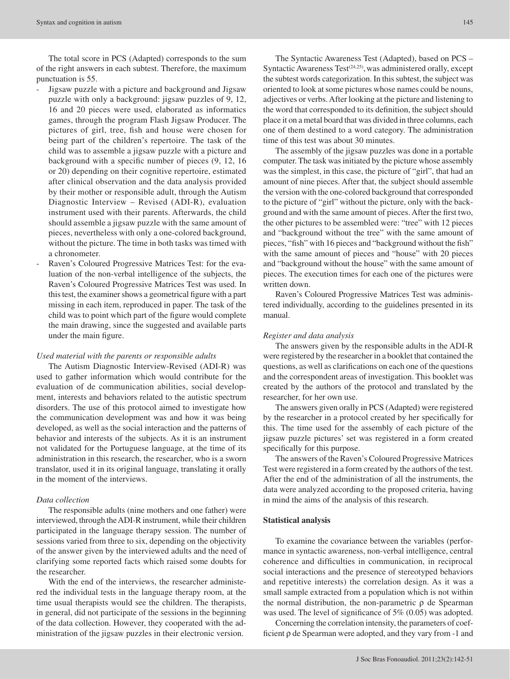The total score in PCS (Adapted) corresponds to the sum of the right answers in each subtest. Therefore, the maximum punctuation is 55.

- Jigsaw puzzle with a picture and background and Jigsaw puzzle with only a background: jigsaw puzzles of 9, 12, 16 and 20 pieces were used, elaborated as informatics games, through the program Flash Jigsaw Producer. The pictures of girl, tree, fish and house were chosen for being part of the children's repertoire. The task of the child was to assemble a jigsaw puzzle with a picture and background with a specific number of pieces (9, 12, 16 or 20) depending on their cognitive repertoire, estimated after clinical observation and the data analysis provided by their mother or responsible adult, through the Autism Diagnostic Interview – Revised (ADI-R), evaluation instrument used with their parents. Afterwards, the child should assemble a jigsaw puzzle with the same amount of pieces, nevertheless with only a one-colored background, without the picture. The time in both tasks was timed with a chronometer.
- Raven's Coloured Progressive Matrices Test: for the evaluation of the non-verbal intelligence of the subjects, the Raven's Coloured Progressive Matrices Test was used. In this test, the examiner shows a geometrical figure with a part missing in each item, reproduced in paper. The task of the child was to point which part of the figure would complete the main drawing, since the suggested and available parts under the main figure.

#### *Used material with the parents or responsible adults*

The Autism Diagnostic Interview-Revised (ADI-R) was used to gather information which would contribute for the evaluation of de communication abilities, social development, interests and behaviors related to the autistic spectrum disorders. The use of this protocol aimed to investigate how the communication development was and how it was being developed, as well as the social interaction and the patterns of behavior and interests of the subjects. As it is an instrument not validated for the Portuguese language, at the time of its administration in this research, the researcher, who is a sworn translator, used it in its original language, translating it orally in the moment of the interviews.

## *Data collection*

The responsible adults (nine mothers and one father) were interviewed, through the ADI-R instrument, while their children participated in the language therapy session. The number of sessions varied from three to six, depending on the objectivity of the answer given by the interviewed adults and the need of clarifying some reported facts which raised some doubts for the researcher.

With the end of the interviews, the researcher administered the individual tests in the language therapy room, at the time usual therapists would see the children. The therapists, in general, did not participate of the sessions in the beginning of the data collection. However, they cooperated with the administration of the jigsaw puzzles in their electronic version.

The Syntactic Awareness Test (Adapted), based on PCS – Syntactic Awareness Test $(24,25)$ , was administered orally, except the subtest words categorization. In this subtest, the subject was oriented to look at some pictures whose names could be nouns, adjectives or verbs. After looking at the picture and listening to the word that corresponded to its definition, the subject should place it on a metal board that was divided in three columns, each one of them destined to a word category. The administration time of this test was about 30 minutes.

The assembly of the jigsaw puzzles was done in a portable computer. The task was initiated by the picture whose assembly was the simplest, in this case, the picture of "girl", that had an amount of nine pieces. After that, the subject should assemble the version with the one-colored background that corresponded to the picture of "girl" without the picture, only with the background and with the same amount of pieces. After the first two, the other pictures to be assembled were: "tree" with 12 pieces and "background without the tree" with the same amount of pieces, "fish" with 16 pieces and "background without the fish" with the same amount of pieces and "house" with 20 pieces and "background without the house" with the same amount of pieces. The execution times for each one of the pictures were written down.

Raven's Coloured Progressive Matrices Test was administered individually, according to the guidelines presented in its manual.

### *Register and data analysis*

The answers given by the responsible adults in the ADI-R were registered by the researcher in a booklet that contained the questions, as well as clarifications on each one of the questions and the correspondent areas of investigation. This booklet was created by the authors of the protocol and translated by the researcher, for her own use.

The answers given orally in PCS (Adapted) were registered by the researcher in a protocol created by her specifically for this. The time used for the assembly of each picture of the jigsaw puzzle pictures' set was registered in a form created specifically for this purpose.

The answers of the Raven's Coloured Progressive Matrices Test were registered in a form created by the authors of the test. After the end of the administration of all the instruments, the data were analyzed according to the proposed criteria, having in mind the aims of the analysis of this research.

## **Statistical analysis**

To examine the covariance between the variables (performance in syntactic awareness, non-verbal intelligence, central coherence and difficulties in communication, in reciprocal social interactions and the presence of stereotyped behaviors and repetitive interests) the correlation design. As it was a small sample extracted from a population which is not within the normal distribution, the non-parametric  $ρ$  de Spearman was used. The level of significance of 5% (0.05) was adopted.

Concerning the correlation intensity, the parameters of coefficient ρ de Spearman were adopted, and they vary from -1 and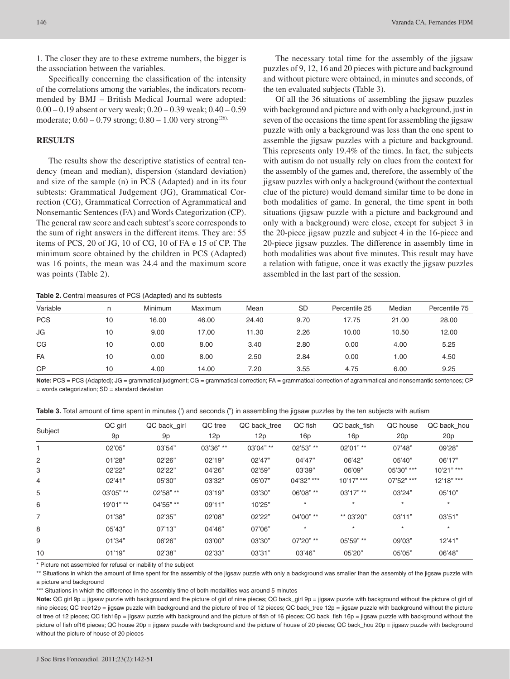1. The closer they are to these extreme numbers, the bigger is the association between the variables.

Specifically concerning the classification of the intensity of the correlations among the variables, the indicators recommended by BMJ – British Medical Journal were adopted: 0.00 – 0.19 absent or very weak; 0.20 – 0.39 weak; 0.40 – 0.59 moderate;  $0.60 - 0.79$  strong;  $0.80 - 1.00$  very strong<sup>(26)</sup>.

# **RESULTS**

The results show the descriptive statistics of central tendency (mean and median), dispersion (standard deviation) and size of the sample (n) in PCS (Adapted) and in its four subtests: Grammatical Judgement (JG), Grammatical Correction (CG), Grammatical Correction of Agrammatical and Nonsemantic Sentences (FA) and Words Categorization (CP). The general raw score and each subtest's score corresponds to the sum of right answers in the different items. They are: 55 items of PCS, 20 of JG, 10 of CG, 10 of FA e 15 of CP. The minimum score obtained by the children in PCS (Adapted) was 16 points, the mean was 24.4 and the maximum score was points (Table 2).

The necessary total time for the assembly of the jigsaw puzzles of 9, 12, 16 and 20 pieces with picture and background and without picture were obtained, in minutes and seconds, of the ten evaluated subjects (Table 3).

Of all the 36 situations of assembling the jigsaw puzzles with background and picture and with only a background, just in seven of the occasions the time spent for assembling the jigsaw puzzle with only a background was less than the one spent to assemble the jigsaw puzzles with a picture and background. This represents only 19.4% of the times. In fact, the subjects with autism do not usually rely on clues from the context for the assembly of the games and, therefore, the assembly of the jigsaw puzzles with only a background (without the contextual clue of the picture) would demand similar time to be done in both modalities of game. In general, the time spent in both situations (jigsaw puzzle with a picture and background and only with a background) were close, except for subject 3 in the 20-piece jigsaw puzzle and subject 4 in the 16-piece and 20-piece jigsaw puzzles. The difference in assembly time in both modalities was about five minutes. This result may have a relation with fatigue, once it was exactly the jigsaw puzzles assembled in the last part of the session.

**Table 2.** Central measures of PCS (Adapted) and its subtests

| Variable   |    | Minimum | Maximum | Mean  | <b>SD</b> | Percentile 25 | Median | Percentile 75 |
|------------|----|---------|---------|-------|-----------|---------------|--------|---------------|
| <b>PCS</b> | 10 | 16.00   | 46.00   | 24.40 | 9.70      | 17.75         | 21.00  | 28.00         |
| JG         | 10 | 9.00    | 17.00   | 11.30 | 2.26      | 10.00         | 10.50  | 12.00         |
| CG         | 10 | 0.00    | 8.00    | 3.40  | 2.80      | 0.00          | 4.00   | 5.25          |
| FA         | 10 | 0.00    | 8.00    | 2.50  | 2.84      | 0.00          | 1.00   | 4.50          |
| <b>CP</b>  | 10 | 4.00    | 14.00   | 7.20  | 3.55      | 4.75          | 6.00   | 9.25          |

Note: PCS = PCS (Adapted); JG = grammatical judgment; CG = grammatical correction; FA = grammatical correction of agrammatical and nonsemantic sentences; CP  $=$  words categorization;  $SD =$  standard deviation

**Table 3.** Total amount of time spent in minutes (') and seconds (") in assembling the jigsaw puzzles by the ten subjects with autism

|         | QC girl   | QC back_girl | QC tree   | QC back_tree | QC fish    | QC back fish | QC house   | QC back_hou  |
|---------|-----------|--------------|-----------|--------------|------------|--------------|------------|--------------|
| Subject | 9p        | 9p           | 12p       | 12p          | 16p        | 16p          | 20p        | 20p          |
|         | 02'05"    | 03'54"       | 03'36" ** | 03'04" **    | 02'53" **  | 02'01" **    | 07'48"     | 09'28"       |
| 2       | 01'28"    | 02'26"       | 02'19"    | 02'47"       | 04'47"     | 06'42"       | 05'40"     | 06'17"       |
| 3       | 02'22"    | 02'22"       | 04'26"    | 02'59"       | 03'39"     | 06'09"       | 05'30" *** | $10'21"$ *** |
| 4       | 02'41"    | 05'30"       | 03'32"    | 05'07"       | 04'32" *** | $10'17"$ *** | 07'52" *** | 12'18" ***   |
| 5       | 03'05" ** | 02'58" **    | 03'19"    | 03'30"       | 06'08" **  | $03'17"$ **  | 03'24"     | 05'10"       |
| 6       | 19'01" ** | 04'55" **    | 09'11"    | 10'25"       | $\star$    | $\star$      | $\star$    | $\star$      |
| 7       | 01'38"    | 02'35"       | 02'08"    | 02'22"       | 04'00" **  | ** 03'20"    | 03'11"     | 03'51"       |
| 8       | 05'43"    | 07'13"       | 04'46"    | 07'06"       |            | $^\star$     | $\star$    | $\star$      |
| 9       | 01'34"    | 06'26"       | 03'00"    | 03'30"       | 07'20" **  | 05'59" **    | 09'03"     | 12'41"       |
| 10      | 01'19"    | 02'38"       | 02'33"    | 03'31"       | 03'46"     | 05'20"       | 05'05"     | 06'48"       |

\* Picture not assembled for refusal or inability of the subject

\*\* Situations in which the amount of time spent for the assembly of the jigsaw puzzle with only a background was smaller than the assembly of the jigsaw puzzle with a picture and background

\*\*\* Situations in which the difference in the assembly time of both modalities was around 5 minutes

Note: QC girl 9p = jigsaw puzzle with background and the picture of girl of nine pieces; QC back\_girl 9p = jigsaw puzzle with background without the picture of girl of nine pieces; QC tree12p = jigsaw puzzle with background and the picture of tree of 12 pieces; QC back\_tree 12p = jigsaw puzzle with background without the picture of tree of 12 pieces; QC fish16p = jigsaw puzzle with background and the picture of fish of 16 pieces; QC back\_fish 16p = jigsaw puzzle with background without the picture of fish of16 pieces; QC house 20p = jigsaw puzzle with background and the picture of house of 20 pieces; QC back\_hou 20p = jigsaw puzzle with background without the picture of house of 20 pieces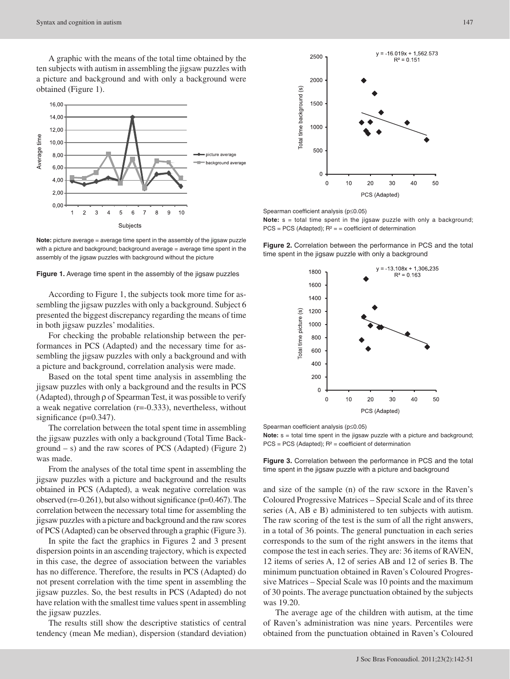

**Note:** picture average = average time spent in the assembly of the jigsaw puzzle with a picture and background; background average = average time spent in the assembly of the jigsaw puzzles with background without the picture

#### **Figure 1.** Average time spent in the assembly of the jigsaw puzzles

According to Figure 1, the subjects took more time for assembling the jigsaw puzzles with only a background. Subject 6 presented the biggest discrepancy regarding the means of time in both jigsaw puzzles' modalities.

For checking the probable relationship between the performances in PCS (Adapted) and the necessary time for assembling the jigsaw puzzles with only a background and with a picture and background, correlation analysis were made.

Based on the total spent time analysis in assembling the jigsaw puzzles with only a background and the results in PCS (Adapted), through ρ of Spearman Test, it was possible to verify a weak negative correlation (r=-0.333), nevertheless, without significance (p=0.347).

The correlation between the total spent time in assembling the jigsaw puzzles with only a background (Total Time Background – s) and the raw scores of PCS (Adapted) (Figure 2) was made.

From the analyses of the total time spent in assembling the jigsaw puzzles with a picture and background and the results obtained in PCS (Adapted), a weak negative correlation was observed (r=-0.261), but also without significance (p=0.467). The correlation between the necessary total time for assembling the jigsaw puzzles with a picture and background and the raw scores of PCS (Adapted) can be observed through a graphic (Figure 3).

In spite the fact the graphics in Figures 2 and 3 present dispersion points in an ascending trajectory, which is expected in this case, the degree of association between the variables has no difference. Therefore, the results in PCS (Adapted) do not present correlation with the time spent in assembling the jigsaw puzzles. So, the best results in PCS (Adapted) do not have relation with the smallest time values spent in assembling the jigsaw puzzles.

The results still show the descriptive statistics of central tendency (mean Me median), dispersion (standard deviation)



Spearman coefficient analysis (p≤0.05)

**Note:**  $s =$  total time spent in the jigsaw puzzle with only a background;  $PCS = PCS$  (Adapted);  $R<sup>2</sup> =$  = coefficient of determination

**Figure 2.** Correlation between the performance in PCS and the total time spent in the jigsaw puzzle with only a background



Spearman coefficient analysis (p≤0.05)

**Note:**  $s =$  total time spent in the jigsaw puzzle with a picture and background;  $PCS = PCS (Adapted); R<sup>2</sup> = coefficient of determination$ 

**Figure 3.** Correlation between the performance in PCS and the total time spent in the jigsaw puzzle with a picture and background

and size of the sample (n) of the raw scxore in the Raven's Coloured Progressive Matrices – Special Scale and of its three series (A, AB e B) administered to ten subjects with autism. The raw scoring of the test is the sum of all the right answers, in a total of 36 points. The general punctuation in each series corresponds to the sum of the right answers in the items that compose the test in each series. They are: 36 items of RAVEN, 12 items of series A, 12 of series AB and 12 of series B. The minimum punctuation obtained in Raven's Coloured Progressive Matrices – Special Scale was 10 points and the maximum of 30 points. The average punctuation obtained by the subjects was 19.20.

The average age of the children with autism, at the time of Raven's administration was nine years. Percentiles were obtained from the punctuation obtained in Raven's Coloured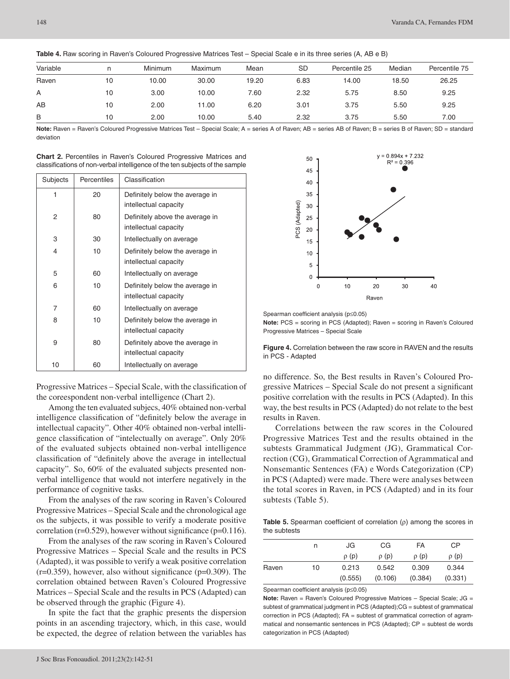| Variable | n  | Minimum | Maximum | Mean  | <b>SD</b> | Percentile 25 | Median | Percentile 75 |
|----------|----|---------|---------|-------|-----------|---------------|--------|---------------|
| Raven    | 10 | 10.00   | 30.00   | 19.20 | 6.83      | 14.00         | 18.50  | 26.25         |
| A        | 10 | 3.00    | 10.00   | 7.60  | 2.32      | 5.75          | 8.50   | 9.25          |
| AB       | 10 | 2.00    | 11.00   | 6.20  | 3.01      | 3.75          | 5.50   | 9.25          |
| B        | 10 | 2.00    | 10.00   | 5.40  | 2.32      | 3.75          | 5.50   | 7.00          |

**Table 4.** Raw scoring in Raven's Coloured Progressive Matrices Test – Special Scale e in its three series (A, AB e B)

Note: Raven = Raven's Coloured Progressive Matrices Test - Special Scale; A = series A of Raven; AB = series AB of Raven; B = series B of Raven; SD = standard deviation

| <b>Chart 2.</b> Percentiles in Raven's Coloured Progressive Matrices and     |  |  |  |
|------------------------------------------------------------------------------|--|--|--|
| classifications of non-verbal intelligence of the ten subjects of the sample |  |  |  |

| Subjects | Percentiles | Classification                                           |
|----------|-------------|----------------------------------------------------------|
| 1        | 20          | Definitely below the average in<br>intellectual capacity |
| 2        | 80          | Definitely above the average in<br>intellectual capacity |
| 3        | 30          | Intellectually on average                                |
| 4        | 10          | Definitely below the average in<br>intellectual capacity |
| 5        | 60          | Intellectually on average                                |
| 6        | 10          | Definitely below the average in<br>intellectual capacity |
| 7        | 60          | Intellectually on average                                |
| 8        | 10          | Definitely below the average in<br>intellectual capacity |
| 9        | 80          | Definitely above the average in<br>intellectual capacity |
| 10       | 60          | Intellectually on average                                |

Progressive Matrices – Special Scale, with the classification of the coreespondent non-verbal intelligence (Chart 2).

Among the ten evaluated subjecs, 40% obtained non-verbal intelligence classification of "definitely below the average in intellectual capacity". Other 40% obtained non-verbal intelligence classification of "intelectually on average". Only 20% of the evaluated subjects obtained non-verbal intelligence classification of "definitely above the average in intellectual capacity". So, 60% of the evaluated subjects presented nonverbal intelligence that would not interfere negatively in the performance of cognitive tasks.

From the analyses of the raw scoring in Raven's Coloured Progressive Matrices – Special Scale and the chronological age os the subjects, it was possible to verify a moderate positive correlation ( $r=0.529$ ), however without significance ( $p=0.116$ ).

From the analyses of the raw scoring in Raven's Coloured Progressive Matrices – Special Scale and the results in PCS (Adapted), it was possible to verify a weak positive correlation  $(r=0.359)$ , however, also without significance  $(p=0.309)$ . The correlation obtained between Raven's Coloured Progressive Matrices – Special Scale and the results in PCS (Adapted) can be observed through the graphic (Figure 4).

In spite the fact that the graphic presents the dispersion points in an ascending trajectory, which, in this case, would be expected, the degree of relation between the variables has



Spearman coefficient analysis (p≤0.05)

**Note:** PCS = scoring in PCS (Adapted); Raven = scoring in Raven's Coloured Progressive Matrices – Special Scale

**Figure 4.** Correlation between the raw score in RAVEN and the results in PCS - Adapted

no difference. So, the Best results in Raven's Coloured Progressive Matrices – Special Scale do not present a significant positive correlation with the results in PCS (Adapted). In this way, the best results in PCS (Adapted) do not relate to the best results in Raven.

Correlations between the raw scores in the Coloured Progressive Matrices Test and the results obtained in the subtests Grammatical Judgment (JG), Grammatical Correction (CG), Grammatical Correction of Agrammatical and Nonsemantic Sentences (FA) e Words Categorization (CP) in PCS (Adapted) were made. There were analyses between the total scores in Raven, in PCS (Adapted) and in its four subtests (Table 5).

**Table 5.** Spearman coefficient of correlation (ρ) among the scores in the subtests

|       | n  | JG        | CG        | FA        | СP        |
|-------|----|-----------|-----------|-----------|-----------|
|       |    | $\rho(p)$ | $\rho(p)$ | $\rho(p)$ | $\rho(p)$ |
| Raven | 10 | 0.213     | 0.542     | 0.309     | 0.344     |
|       |    | (0.555)   | (0.106)   | (0.384)   | (0.331)   |

Spearman coefficient analysis (p≤0.05)

**Note:** Raven = Raven's Coloured Progressive Matrices - Special Scale; JG = subtest of grammatical judgment in PCS (Adapted);CG = subtest of grammatical correction in PCS (Adapted); FA = subtest of grammatical correction of agrammatical and nonsemantic sentences in PCS (Adapted); CP = subtest de words categorization in PCS (Adapted)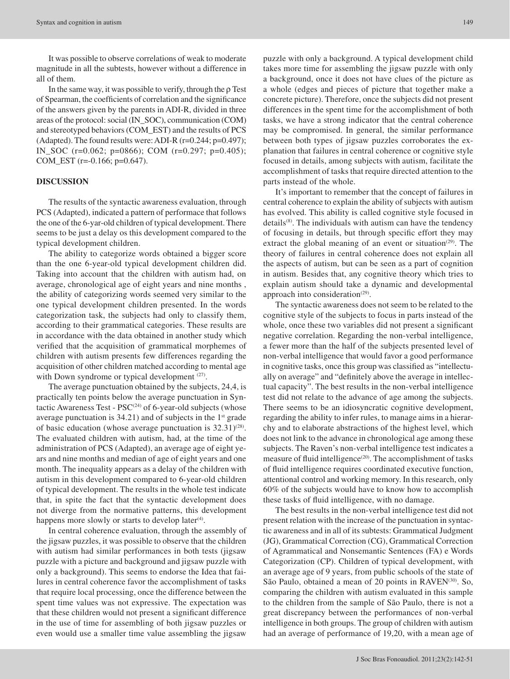It was possible to observe correlations of weak to moderate magnitude in all the subtests, however without a difference in all of them.

In the same way, it was possible to verify, through the  $\rho$  Test of Spearman, the coefficients of correlation and the significance of the answers given by the parents in ADI-R, divided in three areas of the protocol: social (IN\_SOC), communication (COM) and stereotyped behaviors (COM\_EST) and the results of PCS (Adapted). The found results were: ADI-R (r=0.244; p=0.497); IN\_SOC (r=0.062; p=0866); COM (r=0.297; p=0.405); COM\_EST (r=-0.166; p=0.647).

# **DISCUSSION**

The results of the syntactic awareness evaluation, through PCS (Adapted), indicated a pattern of performace that follows the one of the 6-yar-old children of typical development. There seems to be just a delay os this development compared to the typical development children.

The ability to categorize words obtained a bigger score than the one 6-year-old typical development children did. Taking into account that the children with autism had, on average, chronological age of eight years and nine months , the ability of categorizing words seemed very similar to the one typical development children presented. In the words categorization task, the subjects had only to classify them, according to their grammatical categories. These results are in accordance with the data obtained in another study which verified that the acquisition of grammatical morphemes of children with autism presents few differences regarding the acquisition of other children matched according to mental age with Down syndrome or typical development <sup>(27)</sup>.

The average punctuation obtained by the subjects, 24,4, is practically ten points below the average punctuation in Syntactic Awareness Test -  $PSC^{(24)}$  of 6-year-old subjects (whose average punctuation is  $34.21$ ) and of subjects in the  $1<sup>st</sup>$  grade of basic education (whose average punctuation is  $32.31(28)$ . The evaluated children with autism, had, at the time of the administration of PCS (Adapted), an average age of eight years and nine months and median of age of eight years and one month. The inequality appears as a delay of the children with autism in this development compared to 6-year-old children of typical development. The results in the whole test indicate that, in spite the fact that the syntactic development does not diverge from the normative patterns, this development happens more slowly or starts to develop later<sup>(4)</sup>.

In central coherence evaluation, through the assembly of the jigsaw puzzles, it was possible to observe that the children with autism had similar performances in both tests (jigsaw puzzle with a picture and background and jigsaw puzzle with only a background). This seems to endorse the Idea that failures in central coherence favor the accomplishment of tasks that require local processing, once the difference between the spent time values was not expressive. The expectation was that these children would not present a significant difference in the use of time for assembling of both jigsaw puzzles or even would use a smaller time value assembling the jigsaw

puzzle with only a background. A typical development child takes more time for assembling the jigsaw puzzle with only a background, once it does not have clues of the picture as a whole (edges and pieces of picture that together make a concrete picture). Therefore, once the subjects did not present differences in the spent time for the accomplishment of both tasks, we have a strong indicator that the central coherence may be compromised. In general, the similar performance between both types of jigsaw puzzles corroborates the explanation that failures in central coherence or cognitive style focused in details, among subjects with autism, facilitate the accomplishment of tasks that require directed attention to the parts instead of the whole.

It's important to remember that the concept of failures in central coherence to explain the ability of subjects with autism has evolved. This ability is called cognitive style focused in details<sup>(8)</sup>. The individuals with autism can have the tendency of focusing in details, but through specific effort they may extract the global meaning of an event or situation<sup>(29)</sup>. The theory of failures in central coherence does not explain all the aspects of autism, but can be seen as a part of cognition in autism. Besides that, any cognitive theory which tries to explain autism should take a dynamic and developmental approach into consideration $(29)$ .

The syntactic awareness does not seem to be related to the cognitive style of the subjects to focus in parts instead of the whole, once these two variables did not present a significant negative correlation. Regarding the non-verbal intelligence, a fewer more than the half of the subjects presented level of non-verbal intelligence that would favor a good performance in cognitive tasks, once this group was classified as "intellectually on average" and "definitely above the average in intellectual capacity". The best results in the non-verbal intelligence test did not relate to the advance of age among the subjects. There seems to be an idiosyncratic cognitive development, regarding the ability to infer rules, to manage aims in a hierarchy and to elaborate abstractions of the highest level, which does not link to the advance in chronological age among these subjects. The Raven's non-verbal intelligence test indicates a measure of fluid intelligence $(20)$ . The accomplishment of tasks of fluid intelligence requires coordinated executive function, attentional control and working memory. In this research, only 60% of the subjects would have to know how to accomplish these tasks of fluid intelligence, with no damage.

The best results in the non-verbal intelligence test did not present relation with the increase of the punctuation in syntactic awareness and in all of its subtests: Grammatical Judgment (JG), Grammatical Correction (CG), Grammatical Correction of Agrammatical and Nonsemantic Sentences (FA) e Words Categorization (CP). Children of typical development, with an average age of 9 years, from public schools of the state of São Paulo, obtained a mean of 20 points in RAVEN<sup>(30)</sup>. So, comparing the children with autism evaluated in this sample to the children from the sample of São Paulo, there is not a great discrepancy between the performances of non-verbal intelligence in both groups. The group of children with autism had an average of performance of 19,20, with a mean age of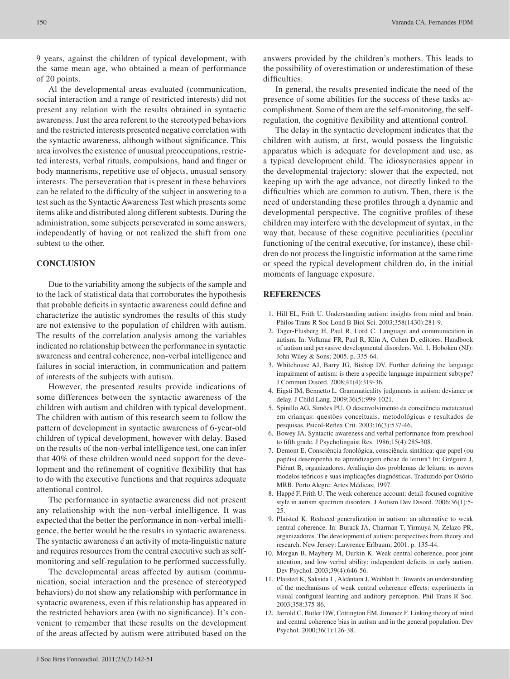9 years, against the children of typical development, with the same mean age, who obtained a mean of performance of 20 points.

Al the developmental areas evaluated (communication, social interaction and a range of restricted interests) did not present any relation with the results obtained in syntactic awareness. Just the area referent to the stereotyped behaviors and the restricted interests presented negative correlation with the syntactic awareness, although without significance. This area involves the existence of unusual preoccupations, restricted interests, verbal rituals, compulsions, hand and finger or body mannerisms, repetitive use of objects, unusual sensory interests. The perseveration that is present in these behaviors can be related to the difficulty of the subject in answering to a test such as the Syntactic Awareness Test which presents some items alike and distributed along different subtests. During the administration, some subjects perseverated in some answers, independently of having or not realized the shift from one subtest to the other.

# **CONCLUSION**

Due to the variability among the subjects of the sample and to the lack of statistical data that corroborates the hypothesis that probable deficits in syntactic awareness could define and characterize the autistic syndromes the results of this study are not extensive to the population of children with autism. The results of the correlation analysis among the variables indicated no relationship between the performance in syntactic awareness and central coherence, non-verbal intelligence and failures in social interaction, in communication and pattern of interests of the subjects with autism.

However, the presented results provide indications of some differences between the syntactic awareness of the children with autism and children with typical development. The children with autism of this research seem to follow the pattern of development in syntactic awareness of 6-year-old children of typical development, however with delay. Based on the results of the non-verbal intelligence test, one can infer that 40% of these children would need support for the development and the refinement of cognitive flexibility that has to do with the executive functions and that requires adequate attentional control.

The performance in syntactic awareness did not present any relationship with the non-verbal intelligence. It was expected that the better the performance in non-verbal intelligence, the better would be the results in syntactic awareness. The syntactic awareness é an activity of meta-linguistic nature and requires resources from the central executive such as selfmonitoring and self-regulation to be performed successfully.

The developmental areas affected by autism (communication, social interaction and the presence of stereotyped behaviors) do not show any relationship with performance in syntactic awareness, even if this relationship has appeared in the restricted behaviors area (with no significance). It's convenient to remember that these results on the development of the areas affected by autism were attributed based on the

answers provided by the children's mothers. This leads to the possibility of overestimation or underestimation of these difficulties.

In general, the results presented indicate the need of the presence of some abilities for the success of these tasks accomplishment. Some of them are the self-monitoring, the selfregulation, the cognitive flexibility and attentional control.

The delay in the syntactic development indicates that the children with autism, at first, would possess the linguistic apparatus which is adequate for development and use, as a typical development child. The idiosyncrasies appear in the developmental trajectory: slower that the expected, not keeping up with the age advance, not directly linked to the difficulties which are common to autism. Then, there is the need of understanding these profiles through a dynamic and developmental perspective. The cognitive profiles of these children may interfere with the development of syntax, in the way that, because of these cognitive peculiarities (peculiar functioning of the central executive, for instance), these children do not process the linguistic information at the same time or speed the typical development children do, in the initial moments of language exposure.

## **REFERENCES**

- 1. Hill EL, Frith U. Understanding autism: insights from mind and brain. Philos Trans R Soc Lond B Biol Sci. 2003;358(1430):281-9.
- 2. Tager-Flusberg H, Paul R, Lord C. Language and communication in autism. In: Volkmar FR, Paul R, Klin A, Cohen D, editores. Handbook of autism and pervasive developmental disorders. Vol. 1. Hoboken (NJ): John Wiley & Sons; 2005. p. 335-64.
- 3. Whitehouse AJ, Barry JG, Bishop DV. Further defining the language impairment of autism: is there a specific language impairment subtype? J Commun Disord. 2008;41(4):319-36.
- 4. Eigsti IM, Bennetto L. Grammaticality judgments in autism: deviance or delay. J Child Lang. 2009;36(5):999-1021.
- 5. Spinillo AG, Simões PU. O desenvolvimento da consciência metatextual em crianças: questões conceituais, metodológicas e resultados de pesquisas. Psicol-Reflex Crit. 2003;16(3):537-46.
- 6. Bowey JA. Syntactic awareness and verbal performance from preschool to fifth grade. J Psycholinguist Res. 1986;15(4):285-308.
- 7. Demont E. Consciência fonológica, consciência sintática: que papel (ou papéis) desempenha na aprendizagem eficaz de leitura? In: Grégoire J, Piérart B, organizadores. Avaliação dos problemas de leitura: os novos modelos teóricos e suas implicações diagnósticas. Traduzido por Osório MRB. Porto Alegre: Artes Médicas; 1997.
- 8. Happé F, Frith U. The weak coherence account: detail-focused cognitive style in autism spectrum disorders. J Autism Dev Disord. 2006;36(1):5- 25.
- 9. Plaisted K. Reduced generalization in autism: an alternative to weak central coherence. In: Burack JA, Charman T, Yirmuya N, Zelazo PR, organizadores. The development of autism: perspectives from theory and research. New Jersey: Lawrence Erlbaum; 2001. p. 135-44.
- 10. Morgan B, Maybery M, Durkin K. Weak central coherence, poor joint attention, and low verbal ability: independent deficits in early autism. Dev Psychol. 2003;39(4):646-56.
- 11. Plaisted K, Saksida L, Alcántara J, Weiblatt E. Towards an understanding of the mechanisms of weak central coherence effects: experiments in visual configural learning and auditory perception. Phil Trans R Soc. 2003;358:375-86.
- 12. Jarrold C, Butler DW, Cottington EM, Jimenez F. Linking theory of mind and central coherence bias in autism and in the general population. Dev Psychol. 2000;36(1):126-38.